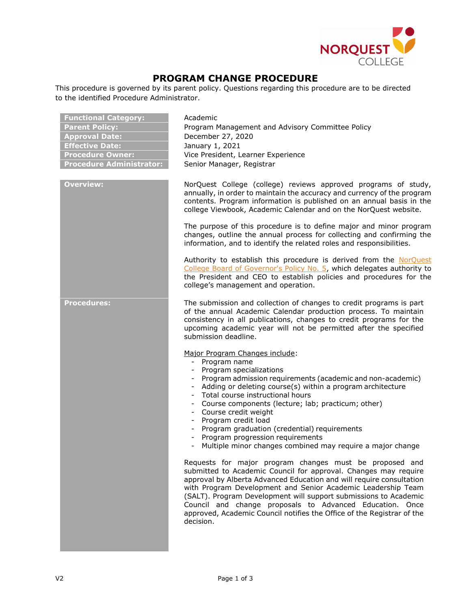

## **PROGRAM CHANGE PROCEDURE**

This procedure is governed by its parent policy. Questions regarding this procedure are to be directed to the identified Procedure Administrator.

| <b>Functional Category:</b><br><b>Parent Policy:</b><br><b>Approval Date:</b><br><b>Effective Date:</b><br><b>Procedure Owner:</b><br><b>Procedure Administrator:</b> | Academic<br>Program Management and Advisory Committee Policy<br>December 27, 2020<br>January 1, 2021<br>Vice President, Learner Experience<br>Senior Manager, Registrar                                                                                                                                                                                                                                                                                                                                                |
|-----------------------------------------------------------------------------------------------------------------------------------------------------------------------|------------------------------------------------------------------------------------------------------------------------------------------------------------------------------------------------------------------------------------------------------------------------------------------------------------------------------------------------------------------------------------------------------------------------------------------------------------------------------------------------------------------------|
| <b>Overview:</b>                                                                                                                                                      | NorQuest College (college) reviews approved programs of study,<br>annually, in order to maintain the accuracy and currency of the program<br>contents. Program information is published on an annual basis in the<br>college Viewbook, Academic Calendar and on the NorQuest website.                                                                                                                                                                                                                                  |
|                                                                                                                                                                       | The purpose of this procedure is to define major and minor program<br>changes, outline the annual process for collecting and confirming the<br>information, and to identify the related roles and responsibilities.                                                                                                                                                                                                                                                                                                    |
|                                                                                                                                                                       | Authority to establish this procedure is derived from the NorQuest<br>College Board of Governor's Policy No. 5, which delegates authority to<br>the President and CEO to establish policies and procedures for the<br>college's management and operation.                                                                                                                                                                                                                                                              |
| <b>Procedures:</b>                                                                                                                                                    | The submission and collection of changes to credit programs is part<br>of the annual Academic Calendar production process. To maintain<br>consistency in all publications, changes to credit programs for the<br>upcoming academic year will not be permitted after the specified<br>submission deadline.                                                                                                                                                                                                              |
|                                                                                                                                                                       | Major Program Changes include:<br>Program name<br>$\sim$<br>- Program specializations<br>- Program admission requirements (academic and non-academic)<br>- Adding or deleting course(s) within a program architecture<br>- Total course instructional hours<br>Course components (lecture; lab; practicum; other)<br>Course credit weight<br>- Program credit load<br>- Program graduation (credential) requirements<br>Program progression requirements<br>Multiple minor changes combined may require a major change |
|                                                                                                                                                                       | Requests for major program changes must be proposed and<br>submitted to Academic Council for approval. Changes may require<br>approval by Alberta Advanced Education and will require consultation<br>with Program Development and Senior Academic Leadership Team<br>(SALT). Program Development will support submissions to Academic<br>Council and change proposals to Advanced Education. Once<br>approved, Academic Council notifies the Office of the Registrar of the<br>decision.                              |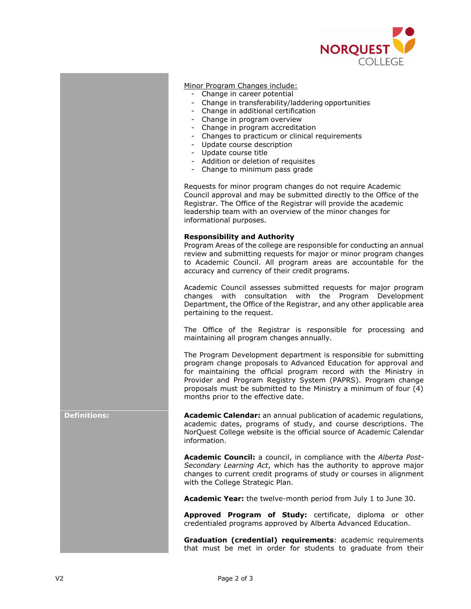

Minor Program Changes include:

- Change in career potential
- Change in transferability/laddering opportunities
- Change in additional certification
- Change in program overview
- Change in program accreditation
- Changes to practicum or clinical requirements
- Update course description
- Update course title
- Addition or deletion of requisites
- Change to minimum pass grade

Requests for minor program changes do not require Academic Council approval and may be submitted directly to the Office of the Registrar. The Office of the Registrar will provide the academic leadership team with an overview of the minor changes for informational purposes.

## **Responsibility and Authority**

Program Areas of the college are responsible for conducting an annual review and submitting requests for major or minor program changes to Academic Council. All program areas are accountable for the accuracy and currency of their credit programs.

Academic Council assesses submitted requests for major program changes with consultation with the Program Development Department, the Office of the Registrar, and any other applicable area pertaining to the request.

The Office of the Registrar is responsible for processing and maintaining all program changes annually.

The Program Development department is responsible for submitting program change proposals to Advanced Education for approval and for maintaining the official program record with the Ministry in Provider and Program Registry System (PAPRS). Program change proposals must be submitted to the Ministry a minimum of four (4) months prior to the effective date.

**Definitions: Academic Calendar:** an annual publication of academic regulations, academic dates, programs of study, and course descriptions. The NorQuest College website is the official source of Academic Calendar information.

> **Academic Council:** a council, in compliance with the *Alberta Post-Secondary Learning Act*, which has the authority to approve major changes to current credit programs of study or courses in alignment with the College Strategic Plan.

**Academic Year:** the twelve-month period from July 1 to June 30.

**Approved Program of Study:** certificate, diploma or other credentialed programs approved by Alberta Advanced Education.

**Graduation (credential) requirements**: academic requirements that must be met in order for students to graduate from their